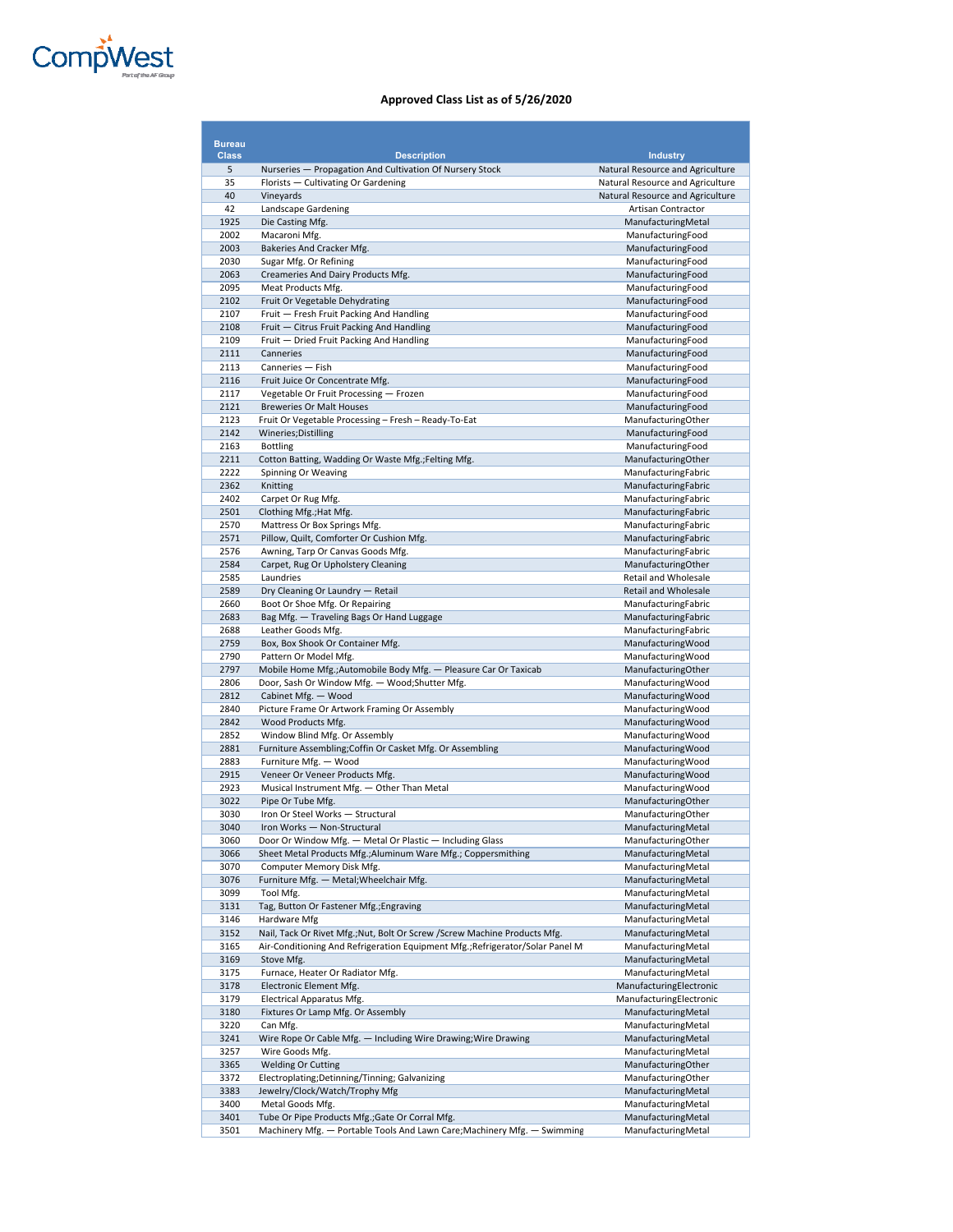

| <b>Bureau</b> |                                                                                       |                                                        |
|---------------|---------------------------------------------------------------------------------------|--------------------------------------------------------|
| <b>Class</b>  | <b>Description</b>                                                                    | <b>Industry</b>                                        |
| 5             | Nurseries - Propagation And Cultivation Of Nursery Stock                              | Natural Resource and Agriculture                       |
| 35            | Florists - Cultivating Or Gardening                                                   | Natural Resource and Agriculture                       |
| 40<br>42      | Vineyards<br>Landscape Gardening                                                      | Natural Resource and Agriculture<br>Artisan Contractor |
| 1925          | Die Casting Mfg.                                                                      | ManufacturingMetal                                     |
| 2002          | Macaroni Mfg.                                                                         | ManufacturingFood                                      |
| 2003          | Bakeries And Cracker Mfg.                                                             | ManufacturingFood                                      |
| 2030          | Sugar Mfg. Or Refining                                                                | ManufacturingFood                                      |
| 2063          | Creameries And Dairy Products Mfg.                                                    | ManufacturingFood                                      |
| 2095          | Meat Products Mfg.                                                                    | ManufacturingFood                                      |
| 2102          | Fruit Or Vegetable Dehydrating                                                        | ManufacturingFood                                      |
| 2107<br>2108  | Fruit - Fresh Fruit Packing And Handling<br>Fruit - Citrus Fruit Packing And Handling | ManufacturingFood<br>ManufacturingFood                 |
| 2109          | Fruit - Dried Fruit Packing And Handling                                              | ManufacturingFood                                      |
| 2111          | Canneries                                                                             | ManufacturingFood                                      |
| 2113          | Canneries - Fish                                                                      | ManufacturingFood                                      |
| 2116          | Fruit Juice Or Concentrate Mfg.                                                       | ManufacturingFood                                      |
| 2117          | Vegetable Or Fruit Processing - Frozen                                                | ManufacturingFood                                      |
| 2121          | <b>Breweries Or Malt Houses</b>                                                       | ManufacturingFood                                      |
| 2123<br>2142  | Fruit Or Vegetable Processing - Fresh - Ready-To-Eat                                  | ManufacturingOther                                     |
| 2163          | Wineries; Distilling<br><b>Bottling</b>                                               | ManufacturingFood<br>ManufacturingFood                 |
| 2211          | Cotton Batting, Wadding Or Waste Mfg.; Felting Mfg.                                   | ManufacturingOther                                     |
| 2222          | Spinning Or Weaving                                                                   | ManufacturingFabric                                    |
| 2362          | Knitting                                                                              | ManufacturingFabric                                    |
| 2402          | Carpet Or Rug Mfg.                                                                    | ManufacturingFabric                                    |
| 2501          | Clothing Mfg.; Hat Mfg.                                                               | ManufacturingFabric                                    |
| 2570          | Mattress Or Box Springs Mfg.                                                          | ManufacturingFabric                                    |
| 2571<br>2576  | Pillow, Quilt, Comforter Or Cushion Mfg.<br>Awning, Tarp Or Canvas Goods Mfg.         | ManufacturingFabric<br>ManufacturingFabric             |
| 2584          | Carpet, Rug Or Upholstery Cleaning                                                    | ManufacturingOther                                     |
| 2585          | Laundries                                                                             | Retail and Wholesale                                   |
| 2589          | Dry Cleaning Or Laundry - Retail                                                      | Retail and Wholesale                                   |
| 2660          | Boot Or Shoe Mfg. Or Repairing                                                        | ManufacturingFabric                                    |
| 2683          | Bag Mfg. - Traveling Bags Or Hand Luggage                                             | ManufacturingFabric                                    |
| 2688          | Leather Goods Mfg.                                                                    | ManufacturingFabric                                    |
| 2759<br>2790  | Box, Box Shook Or Container Mfg.<br>Pattern Or Model Mfg.                             | ManufacturingWood<br>ManufacturingWood                 |
| 2797          | Mobile Home Mfg.; Automobile Body Mfg. - Pleasure Car Or Taxicab                      | ManufacturingOther                                     |
| 2806          | Door, Sash Or Window Mfg. - Wood; Shutter Mfg.                                        | ManufacturingWood                                      |
| 2812          | Cabinet Mfg. - Wood                                                                   | ManufacturingWood                                      |
| 2840          | Picture Frame Or Artwork Framing Or Assembly                                          | ManufacturingWood                                      |
| 2842          | Wood Products Mfg.                                                                    | ManufacturingWood                                      |
| 2852          | Window Blind Mfg. Or Assembly                                                         | ManufacturingWood                                      |
| 2881          | Furniture Assembling; Coffin Or Casket Mfg. Or Assembling                             | ManufacturingWood                                      |
| 2883<br>2915  | Furniture Mfg. - Wood<br>Veneer Or Veneer Products Mfg.                               | ManufacturingWood<br>ManufacturingWood                 |
| 2923          | Musical Instrument Mfg. - Other Than Metal                                            | ManufacturingWood                                      |
| 3022          | Pipe Or Tube Mfg.                                                                     | ManufacturingOther                                     |
| 3030          | Iron Or Steel Works - Structural                                                      | ManufacturingOther                                     |
| 3040          | Iron Works - Non-Structural                                                           | ManufacturingMetal                                     |
| 3060          | Door Or Window Mfg. - Metal Or Plastic - Including Glass                              | ManufacturingOther                                     |
| 3066          | Sheet Metal Products Mfg.; Aluminum Ware Mfg.; Coppersmithing                         | ManufacturingMetal                                     |
| 3070<br>3076  | Computer Memory Disk Mfg.<br>Furniture Mfg. - Metal; Wheelchair Mfg.                  | ManufacturingMetal<br>ManufacturingMetal               |
| 3099          | Tool Mfg.                                                                             | ManufacturingMetal                                     |
| 3131          | Tag, Button Or Fastener Mfg.; Engraving                                               | ManufacturingMetal                                     |
| 3146          | Hardware Mfg                                                                          | ManufacturingMetal                                     |
| 3152          | Nail, Tack Or Rivet Mfg.; Nut, Bolt Or Screw / Screw Machine Products Mfg.            | ManufacturingMetal                                     |
| 3165          | Air-Conditioning And Refrigeration Equipment Mfg.; Refrigerator/Solar Panel M         | ManufacturingMetal                                     |
| 3169          | Stove Mfg.                                                                            | ManufacturingMetal                                     |
| 3175          | Furnace, Heater Or Radiator Mfg.                                                      | ManufacturingMetal                                     |
| 3178<br>3179  | Electronic Element Mfg.<br>Electrical Apparatus Mfg.                                  | ManufacturingElectronic<br>ManufacturingElectronic     |
| 3180          | Fixtures Or Lamp Mfg. Or Assembly                                                     | ManufacturingMetal                                     |
| 3220          | Can Mfg.                                                                              | ManufacturingMetal                                     |
| 3241          | Wire Rope Or Cable Mfg. - Including Wire Drawing; Wire Drawing                        | ManufacturingMetal                                     |
| 3257          | Wire Goods Mfg.                                                                       | ManufacturingMetal                                     |
| 3365          | <b>Welding Or Cutting</b>                                                             | ManufacturingOther                                     |
| 3372          | Electroplating;Detinning/Tinning; Galvanizing                                         | ManufacturingOther                                     |
| 3383          | Jewelry/Clock/Watch/Trophy Mfg                                                        | ManufacturingMetal                                     |
| 3400<br>3401  | Metal Goods Mfg.<br>Tube Or Pipe Products Mfg.; Gate Or Corral Mfg.                   | ManufacturingMetal<br>ManufacturingMetal               |
| 3501          | Machinery Mfg. - Portable Tools And Lawn Care; Machinery Mfg. - Swimming              | ManufacturingMetal                                     |
|               |                                                                                       |                                                        |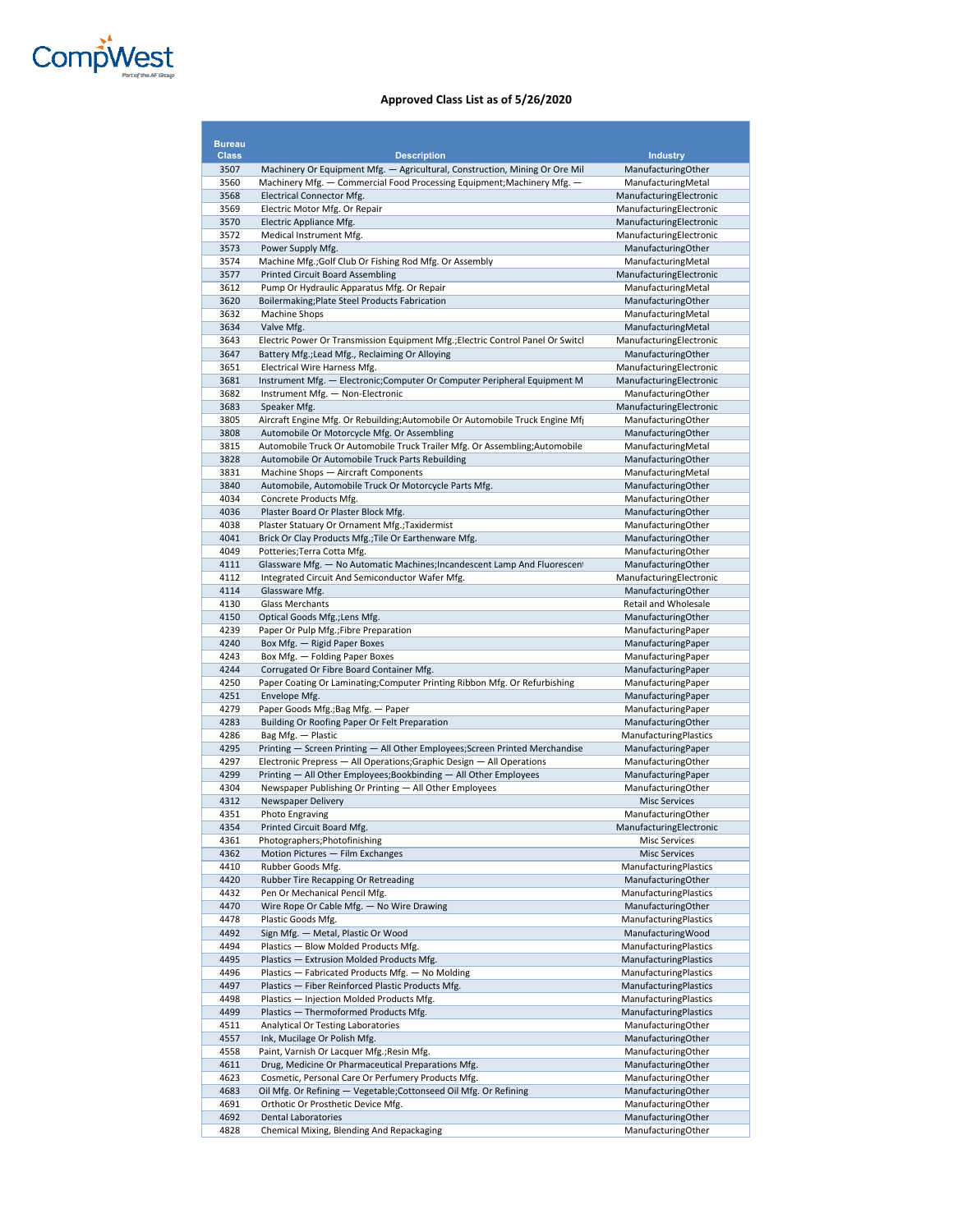

| <b>Bureau</b> |                                                                                                               |                                                    |
|---------------|---------------------------------------------------------------------------------------------------------------|----------------------------------------------------|
| <b>Class</b>  | <b>Description</b>                                                                                            | <b>Industry</b>                                    |
| 3507          | Machinery Or Equipment Mfg. - Agricultural, Construction, Mining Or Ore Mil                                   | ManufacturingOther                                 |
| 3560          | Machinery Mfg. - Commercial Food Processing Equipment; Machinery Mfg. -                                       | ManufacturingMetal                                 |
| 3568<br>3569  | Electrical Connector Mfg.<br>Electric Motor Mfg. Or Repair                                                    | ManufacturingElectronic<br>ManufacturingElectronic |
| 3570          | Electric Appliance Mfg.                                                                                       | ManufacturingElectronic                            |
| 3572          | Medical Instrument Mfg.                                                                                       | ManufacturingElectronic                            |
| 3573          | Power Supply Mfg.                                                                                             | ManufacturingOther                                 |
| 3574          | Machine Mfg.; Golf Club Or Fishing Rod Mfg. Or Assembly                                                       | ManufacturingMetal                                 |
| 3577          | <b>Printed Circuit Board Assembling</b>                                                                       | ManufacturingElectronic                            |
| 3612<br>3620  | Pump Or Hydraulic Apparatus Mfg. Or Repair<br>Boilermaking; Plate Steel Products Fabrication                  | ManufacturingMetal<br>ManufacturingOther           |
| 3632          | <b>Machine Shops</b>                                                                                          | ManufacturingMetal                                 |
| 3634          | Valve Mfg.                                                                                                    | ManufacturingMetal                                 |
| 3643          | Electric Power Or Transmission Equipment Mfg.; Electric Control Panel Or Switcl                               | ManufacturingElectronic                            |
| 3647          | Battery Mfg.; Lead Mfg., Reclaiming Or Alloying                                                               | ManufacturingOther                                 |
| 3651          | Electrical Wire Harness Mfg.                                                                                  | ManufacturingElectronic                            |
| 3681<br>3682  | Instrument Mfg. - Electronic; Computer Or Computer Peripheral Equipment M<br>Instrument Mfg. - Non-Electronic | ManufacturingElectronic<br>ManufacturingOther      |
| 3683          | Speaker Mfg.                                                                                                  | ManufacturingElectronic                            |
| 3805          | Aircraft Engine Mfg. Or Rebuilding; Automobile Or Automobile Truck Engine Mfg                                 | ManufacturingOther                                 |
| 3808          | Automobile Or Motorcycle Mfg. Or Assembling                                                                   | ManufacturingOther                                 |
| 3815          | Automobile Truck Or Automobile Truck Trailer Mfg. Or Assembling; Automobile                                   | ManufacturingMetal                                 |
| 3828<br>3831  | Automobile Or Automobile Truck Parts Rebuilding<br>Machine Shops - Aircraft Components                        | ManufacturingOther<br>ManufacturingMetal           |
| 3840          | Automobile, Automobile Truck Or Motorcycle Parts Mfg.                                                         | ManufacturingOther                                 |
| 4034          | Concrete Products Mfg.                                                                                        | ManufacturingOther                                 |
| 4036          | Plaster Board Or Plaster Block Mfg.                                                                           | ManufacturingOther                                 |
| 4038          | Plaster Statuary Or Ornament Mfg.; Taxidermist                                                                | ManufacturingOther                                 |
| 4041          | Brick Or Clay Products Mfg.; Tile Or Earthenware Mfg.                                                         | ManufacturingOther<br>ManufacturingOther           |
| 4049<br>4111  | Potteries; Terra Cotta Mfg.<br>Glassware Mfg. - No Automatic Machines; Incandescent Lamp And Fluorescent      | ManufacturingOther                                 |
| 4112          | Integrated Circuit And Semiconductor Wafer Mfg.                                                               | ManufacturingElectronic                            |
| 4114          | Glassware Mfg.                                                                                                | ManufacturingOther                                 |
| 4130          | <b>Glass Merchants</b>                                                                                        | Retail and Wholesale                               |
| 4150          | Optical Goods Mfg.; Lens Mfg.                                                                                 | ManufacturingOther<br>ManufacturingPaper           |
| 4239<br>4240  | Paper Or Pulp Mfg.; Fibre Preparation<br>Box Mfg. - Rigid Paper Boxes                                         | ManufacturingPaper                                 |
| 4243          | Box Mfg. - Folding Paper Boxes                                                                                | ManufacturingPaper                                 |
| 4244          | Corrugated Or Fibre Board Container Mfg.                                                                      | ManufacturingPaper                                 |
| 4250          | Paper Coating Or Laminating; Computer Printing Ribbon Mfg. Or Refurbishing                                    | ManufacturingPaper                                 |
| 4251          | Envelope Mfg.                                                                                                 | ManufacturingPaper                                 |
| 4279<br>4283  | Paper Goods Mfg.; Bag Mfg. - Paper<br>Building Or Roofing Paper Or Felt Preparation                           | ManufacturingPaper<br>ManufacturingOther           |
| 4286          | Bag Mfg. - Plastic                                                                                            | ManufacturingPlastics                              |
| 4295          | Printing - Screen Printing - All Other Employees; Screen Printed Merchandise                                  | ManufacturingPaper                                 |
| 4297          | Electronic Prepress - All Operations; Graphic Design - All Operations                                         | ManufacturingOther                                 |
| 4299          | Printing - All Other Employees; Bookbinding - All Other Employees                                             | ManufacturingPaper                                 |
| 4304<br>4312  | Newspaper Publishing Or Printing - All Other Employees<br>Newspaper Delivery                                  | ManufacturingOther<br><b>Misc Services</b>         |
| 4351          | Photo Engraving                                                                                               | ManufacturingOther                                 |
| 4354          | Printed Circuit Board Mfg.                                                                                    | ManufacturingElectronic                            |
| 4361          | Photographers; Photofinishing                                                                                 | <b>Misc Services</b>                               |
| 4362          | Motion Pictures - Film Exchanges                                                                              | <b>Misc Services</b>                               |
| 4410<br>4420  | Rubber Goods Mfg.<br>Rubber Tire Recapping Or Retreading                                                      | ManufacturingPlastics<br>ManufacturingOther        |
| 4432          | Pen Or Mechanical Pencil Mfg.                                                                                 | <b>ManufacturingPlastics</b>                       |
| 4470          | Wire Rope Or Cable Mfg. - No Wire Drawing                                                                     | ManufacturingOther                                 |
| 4478          | Plastic Goods Mfg.                                                                                            | <b>ManufacturingPlastics</b>                       |
| 4492          | Sign Mfg. - Metal, Plastic Or Wood                                                                            | ManufacturingWood<br><b>ManufacturingPlastics</b>  |
| 4494<br>4495  | Plastics - Blow Molded Products Mfg.<br>Plastics - Extrusion Molded Products Mfg.                             | ManufacturingPlastics                              |
| 4496          | Plastics - Fabricated Products Mfg. - No Molding                                                              | <b>ManufacturingPlastics</b>                       |
| 4497          | Plastics - Fiber Reinforced Plastic Products Mfg.                                                             | ManufacturingPlastics                              |
| 4498          | Plastics - Injection Molded Products Mfg.                                                                     | ManufacturingPlastics                              |
| 4499          | Plastics - Thermoformed Products Mfg.                                                                         | <b>ManufacturingPlastics</b>                       |
| 4511<br>4557  | Analytical Or Testing Laboratories<br>Ink, Mucilage Or Polish Mfg.                                            | ManufacturingOther<br>ManufacturingOther           |
| 4558          | Paint, Varnish Or Lacquer Mfg.; Resin Mfg.                                                                    | ManufacturingOther                                 |
| 4611          | Drug, Medicine Or Pharmaceutical Preparations Mfg.                                                            | ManufacturingOther                                 |
| 4623          | Cosmetic, Personal Care Or Perfumery Products Mfg.                                                            | ManufacturingOther                                 |
| 4683          | Oil Mfg. Or Refining - Vegetable; Cottonseed Oil Mfg. Or Refining                                             | ManufacturingOther                                 |
| 4691<br>4692  | Orthotic Or Prosthetic Device Mfg.<br><b>Dental Laboratories</b>                                              | ManufacturingOther<br>ManufacturingOther           |
| 4828          | Chemical Mixing, Blending And Repackaging                                                                     | ManufacturingOther                                 |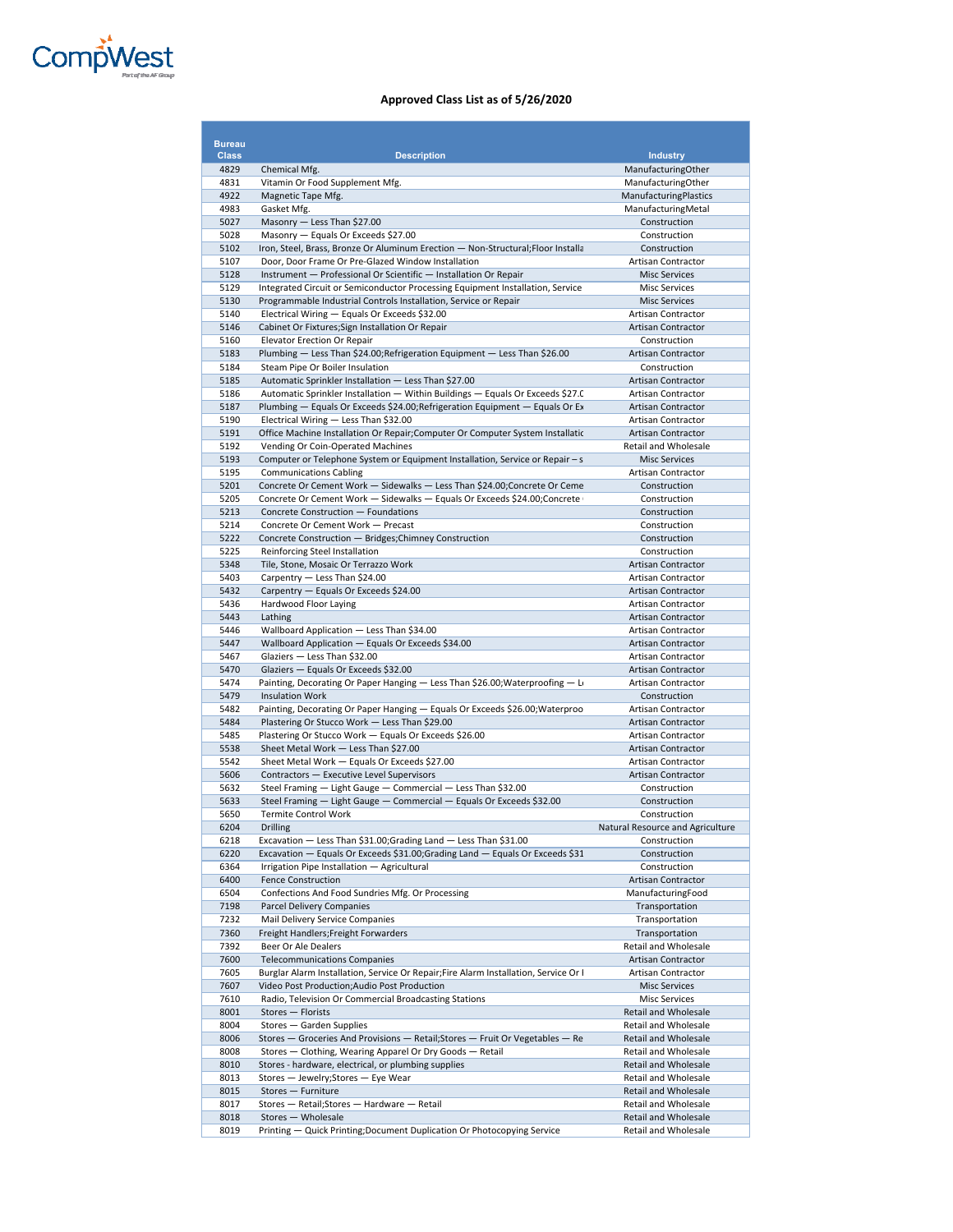

| <b>Bureau</b> |                                                                                                                                                       |                                                   |
|---------------|-------------------------------------------------------------------------------------------------------------------------------------------------------|---------------------------------------------------|
| <b>Class</b>  | <b>Description</b>                                                                                                                                    | <b>Industry</b>                                   |
| 4829          | Chemical Mfg.                                                                                                                                         | ManufacturingOther                                |
| 4831          | Vitamin Or Food Supplement Mfg.                                                                                                                       | ManufacturingOther                                |
| 4922          | Magnetic Tape Mfg.                                                                                                                                    | ManufacturingPlastics                             |
| 4983<br>5027  | Gasket Mfg.                                                                                                                                           | ManufacturingMetal<br>Construction                |
| 5028          | Masonry - Less Than \$27.00<br>Masonry - Equals Or Exceeds \$27.00                                                                                    | Construction                                      |
| 5102          | Iron, Steel, Brass, Bronze Or Aluminum Erection - Non-Structural; Floor Installa                                                                      | Construction                                      |
| 5107          | Door, Door Frame Or Pre-Glazed Window Installation                                                                                                    | Artisan Contractor                                |
| 5128          | Instrument - Professional Or Scientific - Installation Or Repair                                                                                      | <b>Misc Services</b>                              |
| 5129          | Integrated Circuit or Semiconductor Processing Equipment Installation, Service                                                                        | <b>Misc Services</b>                              |
| 5130          | Programmable Industrial Controls Installation, Service or Repair                                                                                      | <b>Misc Services</b>                              |
| 5140          | Electrical Wiring - Equals Or Exceeds \$32.00                                                                                                         | <b>Artisan Contractor</b>                         |
| 5146          | Cabinet Or Fixtures; Sign Installation Or Repair                                                                                                      | Artisan Contractor                                |
| 5160<br>5183  | Elevator Erection Or Repair<br>Plumbing - Less Than \$24.00; Refrigeration Equipment - Less Than \$26.00                                              | Construction<br>Artisan Contractor                |
| 5184          | Steam Pipe Or Boiler Insulation                                                                                                                       | Construction                                      |
| 5185          | Automatic Sprinkler Installation - Less Than \$27.00                                                                                                  | <b>Artisan Contractor</b>                         |
| 5186          | Automatic Sprinkler Installation - Within Buildings - Equals Or Exceeds \$27.0                                                                        | Artisan Contractor                                |
| 5187          | Plumbing - Equals Or Exceeds \$24.00; Refrigeration Equipment - Equals Or Ex                                                                          | Artisan Contractor                                |
| 5190          | Electrical Wiring - Less Than \$32.00                                                                                                                 | Artisan Contractor                                |
| 5191          | Office Machine Installation Or Repair; Computer Or Computer System Installatic                                                                        | <b>Artisan Contractor</b>                         |
| 5192          | Vending Or Coin-Operated Machines                                                                                                                     | Retail and Wholesale                              |
| 5193          | Computer or Telephone System or Equipment Installation, Service or Repair - s                                                                         | <b>Misc Services</b>                              |
| 5195          | <b>Communications Cabling</b>                                                                                                                         | Artisan Contractor                                |
| 5201<br>5205  | Concrete Or Cement Work - Sidewalks - Less Than \$24.00; Concrete Or Ceme<br>Concrete Or Cement Work - Sidewalks - Equals Or Exceeds \$24.00;Concrete | Construction<br>Construction                      |
| 5213          | Concrete Construction - Foundations                                                                                                                   | Construction                                      |
| 5214          | Concrete Or Cement Work - Precast                                                                                                                     | Construction                                      |
| 5222          | Concrete Construction - Bridges; Chimney Construction                                                                                                 | Construction                                      |
| 5225          | Reinforcing Steel Installation                                                                                                                        | Construction                                      |
| 5348          | Tile, Stone, Mosaic Or Terrazzo Work                                                                                                                  | <b>Artisan Contractor</b>                         |
| 5403          | Carpentry - Less Than \$24.00                                                                                                                         | Artisan Contractor                                |
| 5432<br>5436  | Carpentry - Equals Or Exceeds \$24.00<br>Hardwood Floor Laying                                                                                        | <b>Artisan Contractor</b><br>Artisan Contractor   |
| 5443          | Lathing                                                                                                                                               | <b>Artisan Contractor</b>                         |
| 5446          | Wallboard Application - Less Than \$34.00                                                                                                             | Artisan Contractor                                |
| 5447          | Wallboard Application - Equals Or Exceeds \$34.00                                                                                                     | Artisan Contractor                                |
| 5467          | Glaziers - Less Than \$32.00                                                                                                                          | <b>Artisan Contractor</b>                         |
| 5470          | Glaziers - Equals Or Exceeds \$32.00                                                                                                                  | Artisan Contractor                                |
| 5474          | Painting, Decorating Or Paper Hanging - Less Than \$26.00; Waterproofing - Lot                                                                        | Artisan Contractor                                |
| 5479          | <b>Insulation Work</b>                                                                                                                                | Construction                                      |
| 5482<br>5484  | Painting, Decorating Or Paper Hanging - Equals Or Exceeds \$26.00; Waterproo<br>Plastering Or Stucco Work - Less Than \$29.00                         | Artisan Contractor<br>Artisan Contractor          |
| 5485          | Plastering Or Stucco Work - Equals Or Exceeds \$26.00                                                                                                 | <b>Artisan Contractor</b>                         |
| 5538          | Sheet Metal Work - Less Than \$27.00                                                                                                                  | Artisan Contractor                                |
| 5542          | Sheet Metal Work - Equals Or Exceeds \$27.00                                                                                                          | Artisan Contractor                                |
| 5606          | Contractors - Executive Level Supervisors                                                                                                             | <b>Artisan Contractor</b>                         |
| 5632          | Steel Framing - Light Gauge - Commercial - Less Than \$32.00                                                                                          | Construction                                      |
| 5633          | Steel Framing - Light Gauge - Commercial - Equals Or Exceeds \$32.00                                                                                  | Construction                                      |
| 5650          | <b>Termite Control Work</b>                                                                                                                           | Construction                                      |
| 6204<br>6218  | Drilling<br>Excavation - Less Than \$31.00; Grading Land - Less Than \$31.00                                                                          | Natural Resource and Agriculture<br>Construction  |
| 6220          | Excavation - Equals Or Exceeds \$31.00; Grading Land - Equals Or Exceeds \$31                                                                         | Construction                                      |
| 6364          | Irrigation Pipe Installation - Agricultural                                                                                                           | Construction                                      |
| 6400          | <b>Fence Construction</b>                                                                                                                             | Artisan Contractor                                |
| 6504          | Confections And Food Sundries Mfg. Or Processing                                                                                                      | ManufacturingFood                                 |
| 7198          | <b>Parcel Delivery Companies</b>                                                                                                                      | Transportation                                    |
| 7232          | Mail Delivery Service Companies                                                                                                                       | Transportation                                    |
| 7360<br>7392  | Freight Handlers; Freight Forwarders<br>Beer Or Ale Dealers                                                                                           | Transportation                                    |
| 7600          | <b>Telecommunications Companies</b>                                                                                                                   | Retail and Wholesale<br><b>Artisan Contractor</b> |
| 7605          | Burglar Alarm Installation, Service Or Repair;Fire Alarm Installation, Service Or I                                                                   | Artisan Contractor                                |
| 7607          | Video Post Production; Audio Post Production                                                                                                          | <b>Misc Services</b>                              |
| 7610          | Radio, Television Or Commercial Broadcasting Stations                                                                                                 | <b>Misc Services</b>                              |
| 8001          | Stores - Florists                                                                                                                                     | Retail and Wholesale                              |
| 8004          | Stores - Garden Supplies                                                                                                                              | Retail and Wholesale                              |
| 8006          | Stores - Groceries And Provisions - Retail; Stores - Fruit Or Vegetables - Re                                                                         | <b>Retail and Wholesale</b>                       |
| 8008          | Stores - Clothing, Wearing Apparel Or Dry Goods - Retail                                                                                              | Retail and Wholesale                              |
| 8010<br>8013  | Stores - hardware, electrical, or plumbing supplies<br>Stores - Jewelry; Stores - Eye Wear                                                            | Retail and Wholesale<br>Retail and Wholesale      |
| 8015          | Stores - Furniture                                                                                                                                    | Retail and Wholesale                              |
| 8017          | Stores - Retail; Stores - Hardware - Retail                                                                                                           | Retail and Wholesale                              |
| 8018          | Stores - Wholesale                                                                                                                                    | Retail and Wholesale                              |
| 8019          | Printing - Quick Printing; Document Duplication Or Photocopying Service                                                                               | Retail and Wholesale                              |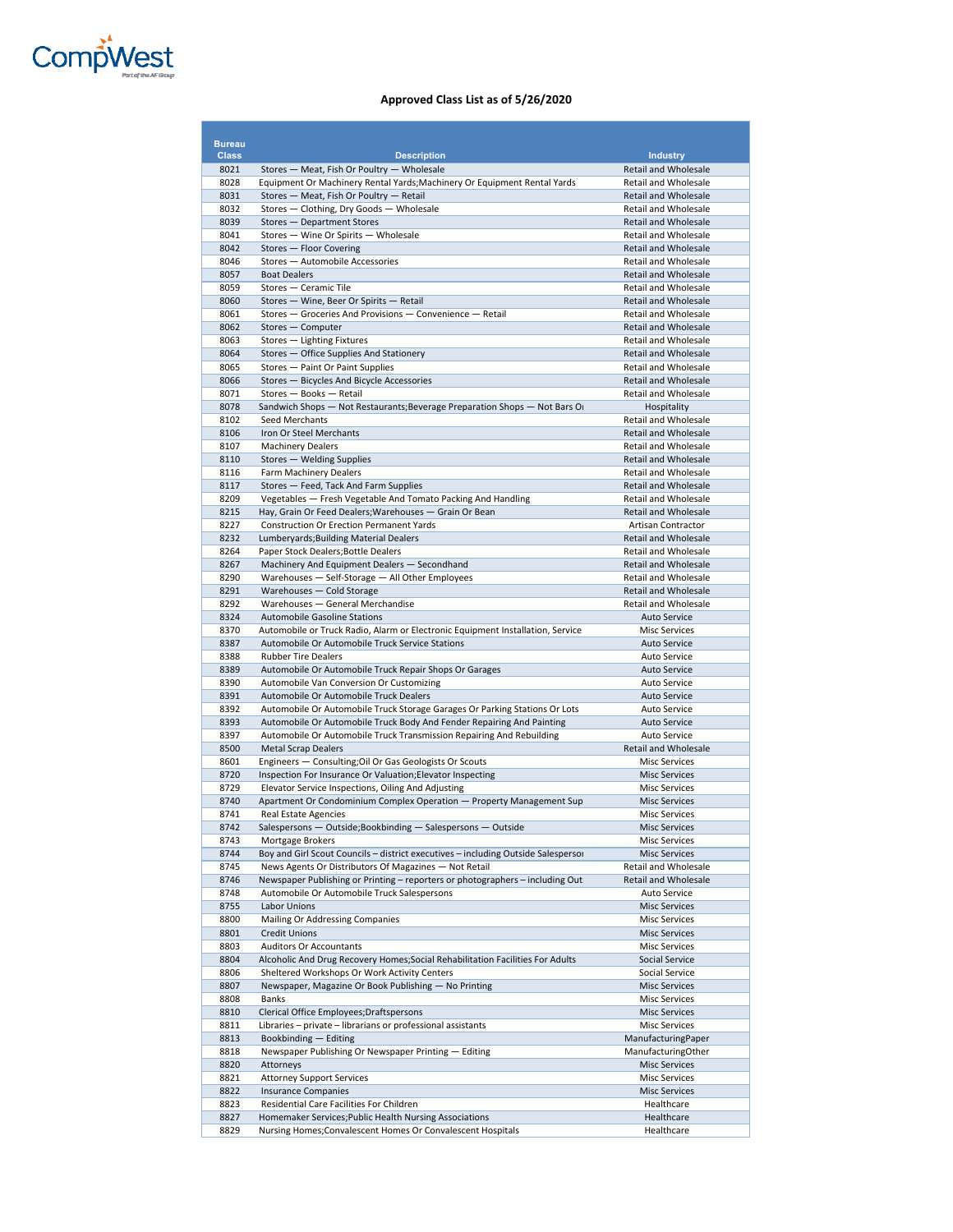

| <b>Bureau</b> |                                                                                                                  |                                                            |
|---------------|------------------------------------------------------------------------------------------------------------------|------------------------------------------------------------|
| <b>Class</b>  | <b>Description</b>                                                                                               | <b>Industry</b>                                            |
| 8021          | Stores - Meat, Fish Or Poultry - Wholesale                                                                       | <b>Retail and Wholesale</b>                                |
| 8028          | Equipment Or Machinery Rental Yards; Machinery Or Equipment Rental Yards                                         | <b>Retail and Wholesale</b>                                |
| 8031          | Stores - Meat, Fish Or Poultry - Retail                                                                          | <b>Retail and Wholesale</b>                                |
| 8032          | Stores - Clothing, Dry Goods - Wholesale                                                                         | <b>Retail and Wholesale</b>                                |
| 8039<br>8041  | Stores - Department Stores<br>Stores - Wine Or Spirits - Wholesale                                               | <b>Retail and Wholesale</b><br>Retail and Wholesale        |
| 8042          | Stores - Floor Covering                                                                                          | <b>Retail and Wholesale</b>                                |
| 8046          | Stores - Automobile Accessories                                                                                  | Retail and Wholesale                                       |
| 8057          | <b>Boat Dealers</b>                                                                                              | <b>Retail and Wholesale</b>                                |
| 8059          | Stores - Ceramic Tile                                                                                            | <b>Retail and Wholesale</b>                                |
| 8060          | Stores - Wine, Beer Or Spirits - Retail                                                                          | <b>Retail and Wholesale</b>                                |
| 8061          | Stores - Groceries And Provisions - Convenience - Retail                                                         | <b>Retail and Wholesale</b>                                |
| 8062<br>8063  | Stores - Computer<br>Stores - Lighting Fixtures                                                                  | <b>Retail and Wholesale</b><br><b>Retail and Wholesale</b> |
| 8064          | Stores - Office Supplies And Stationery                                                                          | <b>Retail and Wholesale</b>                                |
| 8065          | Stores - Paint Or Paint Supplies                                                                                 | <b>Retail and Wholesale</b>                                |
| 8066          | Stores - Bicycles And Bicycle Accessories                                                                        | <b>Retail and Wholesale</b>                                |
| 8071          | Stores - Books - Retail                                                                                          | <b>Retail and Wholesale</b>                                |
| 8078          | Sandwich Shops — Not Restaurants; Beverage Preparation Shops — Not Bars Or                                       | Hospitality                                                |
| 8102          | Seed Merchants                                                                                                   | Retail and Wholesale                                       |
| 8106          | Iron Or Steel Merchants                                                                                          | <b>Retail and Wholesale</b>                                |
| 8107<br>8110  | <b>Machinery Dealers</b><br>Stores - Welding Supplies                                                            | Retail and Wholesale<br><b>Retail and Wholesale</b>        |
| 8116          | Farm Machinery Dealers                                                                                           | <b>Retail and Wholesale</b>                                |
| 8117          | Stores - Feed, Tack And Farm Supplies                                                                            | <b>Retail and Wholesale</b>                                |
| 8209          | Vegetables - Fresh Vegetable And Tomato Packing And Handling                                                     | Retail and Wholesale                                       |
| 8215          | Hay, Grain Or Feed Dealers; Warehouses - Grain Or Bean                                                           | <b>Retail and Wholesale</b>                                |
| 8227          | <b>Construction Or Erection Permanent Yards</b>                                                                  | Artisan Contractor                                         |
| 8232          | Lumberyards; Building Material Dealers                                                                           | <b>Retail and Wholesale</b>                                |
| 8264<br>8267  | Paper Stock Dealers; Bottle Dealers                                                                              | Retail and Wholesale<br>Retail and Wholesale               |
| 8290          | Machinery And Equipment Dealers - Secondhand<br>Warehouses - Self-Storage - All Other Employees                  | <b>Retail and Wholesale</b>                                |
| 8291          | Warehouses - Cold Storage                                                                                        | <b>Retail and Wholesale</b>                                |
| 8292          | Warehouses - General Merchandise                                                                                 | <b>Retail and Wholesale</b>                                |
| 8324          | <b>Automobile Gasoline Stations</b>                                                                              | <b>Auto Service</b>                                        |
| 8370          | Automobile or Truck Radio, Alarm or Electronic Equipment Installation, Service                                   | <b>Misc Services</b>                                       |
| 8387          | Automobile Or Automobile Truck Service Stations                                                                  | <b>Auto Service</b>                                        |
| 8388          | <b>Rubber Tire Dealers</b>                                                                                       | <b>Auto Service</b>                                        |
| 8389<br>8390  | Automobile Or Automobile Truck Repair Shops Or Garages<br>Automobile Van Conversion Or Customizing               | <b>Auto Service</b><br>Auto Service                        |
| 8391          | Automobile Or Automobile Truck Dealers                                                                           | <b>Auto Service</b>                                        |
| 8392          | Automobile Or Automobile Truck Storage Garages Or Parking Stations Or Lots                                       | <b>Auto Service</b>                                        |
| 8393          | Automobile Or Automobile Truck Body And Fender Repairing And Painting                                            | <b>Auto Service</b>                                        |
| 8397          | Automobile Or Automobile Truck Transmission Repairing And Rebuilding                                             | Auto Service                                               |
| 8500          | <b>Metal Scrap Dealers</b>                                                                                       | <b>Retail and Wholesale</b>                                |
| 8601          | Engineers - Consulting; Oil Or Gas Geologists Or Scouts                                                          | <b>Misc Services</b>                                       |
| 8720<br>8729  | Inspection For Insurance Or Valuation; Elevator Inspecting<br>Elevator Service Inspections, Oiling And Adjusting | <b>Misc Services</b>                                       |
| 8740          | Apartment Or Condominium Complex Operation - Property Management Sup                                             | <b>Misc Services</b><br><b>Misc Services</b>               |
| 8741          | <b>Real Estate Agencies</b>                                                                                      | <b>Misc Services</b>                                       |
| 8742          | Salespersons - Outside; Bookbinding - Salespersons - Outside                                                     | <b>Misc Services</b>                                       |
| 8743          | Mortgage Brokers                                                                                                 | <b>Misc Services</b>                                       |
| 8744          | Boy and Girl Scout Councils - district executives - including Outside Salespersor                                | <b>Misc Services</b>                                       |
| 8745          | News Agents Or Distributors Of Magazines - Not Retail                                                            | Retail and Wholesale                                       |
| 8746          | Newspaper Publishing or Printing - reporters or photographers - including Out:                                   | <b>Retail and Wholesale</b>                                |
| 8748<br>8755  | Automobile Or Automobile Truck Salespersons<br>Labor Unions                                                      | Auto Service<br><b>Misc Services</b>                       |
| 8800          | Mailing Or Addressing Companies                                                                                  | <b>Misc Services</b>                                       |
| 8801          | <b>Credit Unions</b>                                                                                             | <b>Misc Services</b>                                       |
| 8803          | <b>Auditors Or Accountants</b>                                                                                   | <b>Misc Services</b>                                       |
| 8804          | Alcoholic And Drug Recovery Homes; Social Rehabilitation Facilities For Adults                                   | Social Service                                             |
| 8806          | Sheltered Workshops Or Work Activity Centers                                                                     | Social Service                                             |
| 8807          | Newspaper, Magazine Or Book Publishing - No Printing                                                             | <b>Misc Services</b>                                       |
| 8808          | <b>Banks</b><br>Clerical Office Employees; Draftspersons                                                         | <b>Misc Services</b>                                       |
| 8810<br>8811  | Libraries - private - librarians or professional assistants                                                      | <b>Misc Services</b><br><b>Misc Services</b>               |
| 8813          | Bookbinding - Editing                                                                                            | ManufacturingPaper                                         |
| 8818          | Newspaper Publishing Or Newspaper Printing - Editing                                                             | ManufacturingOther                                         |
| 8820          | Attorneys                                                                                                        | <b>Misc Services</b>                                       |
| 8821          | <b>Attorney Support Services</b>                                                                                 | <b>Misc Services</b>                                       |
| 8822          | <b>Insurance Companies</b>                                                                                       | <b>Misc Services</b>                                       |
| 8823          | Residential Care Facilities For Children                                                                         | Healthcare                                                 |
| 8827          | Homemaker Services; Public Health Nursing Associations                                                           | Healthcare                                                 |
| 8829          | Nursing Homes; Convalescent Homes Or Convalescent Hospitals                                                      | Healthcare                                                 |